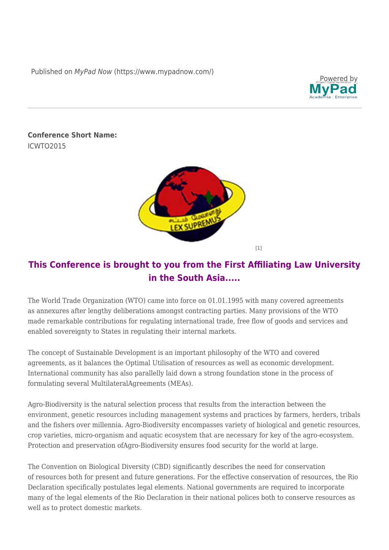Published on MyPad Now [\(https://www.mypadnow.com/](https://www.mypadnow.com/node/))



**Conference Short Name:**  ICWTO2015



## **This Conference is brought to you from the First Affiliating Law University in the South Asia.....**

The World Trade Organization (WTO) came into force on 01.01.1995 with many covered agreements as annexures after lengthy deliberations amongst contracting parties. Many provisions of the WTO made remarkable contributions for regulating international trade, free flow of goods and services and enabled sovereignty to States in regulating their internal markets.

The concept of Sustainable Development is an important philosophy of the WTO and covered agreements, as it balances the Optimal Utilisation of resources as well as economic development. International community has also parallelly laid down a strong foundation stone in the process of formulating several MultilateralAgreements (MEAs).

Agro-Biodiversity is the natural selection process that results from the interaction between the environment, genetic resources including management systems and practices by farmers, herders, tribals and the fishers over millennia. Agro-Biodiversity encompasses variety of biological and genetic resources, crop varieties, micro-organism and aquatic ecosystem that are necessary for key of the agro-ecosystem. Protection and preservation ofAgro-Biodiversity ensures food security for the world at large.

The Convention on Biological Diversity (CBD) significantly describes the need for conservation of resources both for present and future generations. For the effective conservation of resources, the Rio Declaration specifically postulates legal elements. National governments are required to incorporate many of the legal elements of the Rio Declaration in their national polices both to conserve resources as well as to protect domestic markets.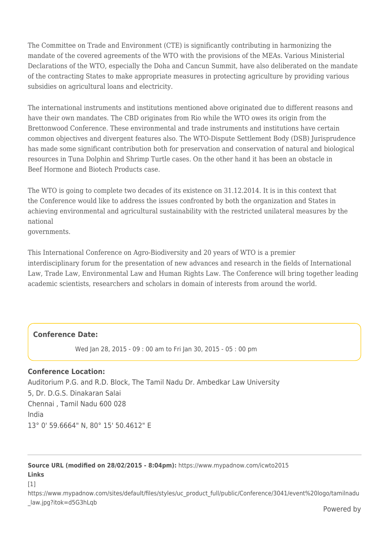The Committee on Trade and Environment (CTE) is significantly contributing in harmonizing the mandate of the covered agreements of the WTO with the provisions of the MEAs. Various Ministerial Declarations of the WTO, especially the Doha and Cancun Summit, have also deliberated on the mandate of the contracting States to make appropriate measures in protecting agriculture by providing various subsidies on agricultural loans and electricity.

The international instruments and institutions mentioned above originated due to different reasons and have their own mandates. The CBD originates from Rio while the WTO owes its origin from the Brettonwood Conference. These environmental and trade instruments and institutions have certain common objectives and divergent features also. The WTO-Dispute Settlement Body (DSB) Jurisprudence has made some significant contribution both for preservation and conservation of natural and biological resources in Tuna Dolphin and Shrimp Turtle cases. On the other hand it has been an obstacle in Beef Hormone and Biotech Products case.

The WTO is going to complete two decades of its existence on 31.12.2014. It is in this context that the Conference would like to address the issues confronted by both the organization and States in achieving environmental and agricultural sustainability with the restricted unilateral measures by the national

governments.

This International Conference on Agro-Biodiversity and 20 years of WTO is a premier interdisciplinary forum for the presentation of new advances and research in the fields of International Law, Trade Law, Environmental Law and Human Rights Law. The Conference will bring together leading academic scientists, researchers and scholars in domain of interests from around the world.

## **Conference Date:**

Wed Jan 28, 2015 - 09 : 00 am to Fri Jan 30, 2015 - 05 : 00 pm

## **Conference Location:**

Auditorium P.G. and R.D. Block, The Tamil Nadu Dr. Ambedkar Law University 5, Dr. D.G.S. Dinakaran Salai Chennai , Tamil Nadu 600 028 India 13° 0' 59.6664" N, 80° 15' 50.4612" E

## **Source URL (modified on 28/02/2015 - 8:04pm):** https://www.mypadnow.com/icwto2015 **Links**

 $[1]$ 

https://www.mypadnow.com/sites/default/files/styles/uc\_product\_full/public/Conference/3041/event%20logo/tamilnadu \_law.jpg?itok=d5G3hLqb